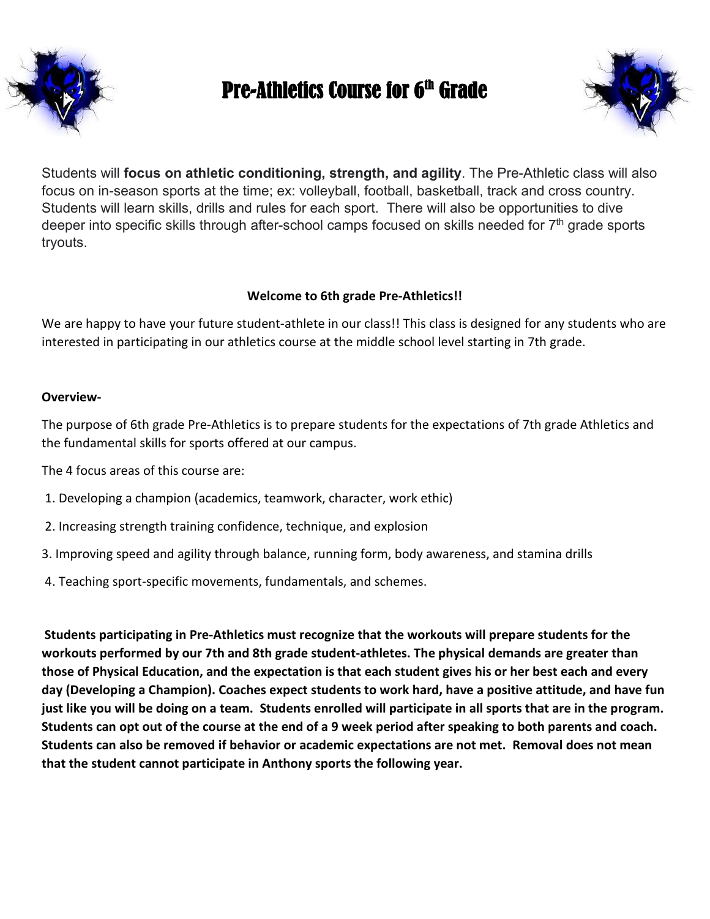

# Pre-Athletics Course for 6th Grade



Students will **focus on athletic conditioning, strength, and agility**. The Pre-Athletic class will also focus on in-season sports at the time; ex: volleyball, football, basketball, track and cross country. Students will learn skills, drills and rules for each sport. There will also be opportunities to dive deeper into specific skills through after-school camps focused on skills needed for  $7<sup>th</sup>$  grade sports tryouts.

#### **Welcome to 6th grade Pre-Athletics!!**

We are happy to have your future student-athlete in our class!! This class is designed for any students who are interested in participating in our athletics course at the middle school level starting in 7th grade.

#### **Overview-**

The purpose of 6th grade Pre-Athletics is to prepare students for the expectations of 7th grade Athletics and the fundamental skills for sports offered at our campus.

The 4 focus areas of this course are:

- 1. Developing a champion (academics, teamwork, character, work ethic)
- 2. Increasing strength training confidence, technique, and explosion
- 3. Improving speed and agility through balance, running form, body awareness, and stamina drills
- 4. Teaching sport-specific movements, fundamentals, and schemes.

**Students participating in Pre-Athletics must recognize that the workouts will prepare students for the workouts performed by our 7th and 8th grade student-athletes. The physical demands are greater than those of Physical Education, and the expectation is that each student gives his or her best each and every day (Developing a Champion). Coaches expect students to work hard, have a positive attitude, and have fun just like you will be doing on a team. Students enrolled will participate in all sports that are in the program. Students can opt out of the course at the end of a 9 week period after speaking to both parents and coach. Students can also be removed if behavior or academic expectations are not met. Removal does not mean that the student cannot participate in Anthony sports the following year.**